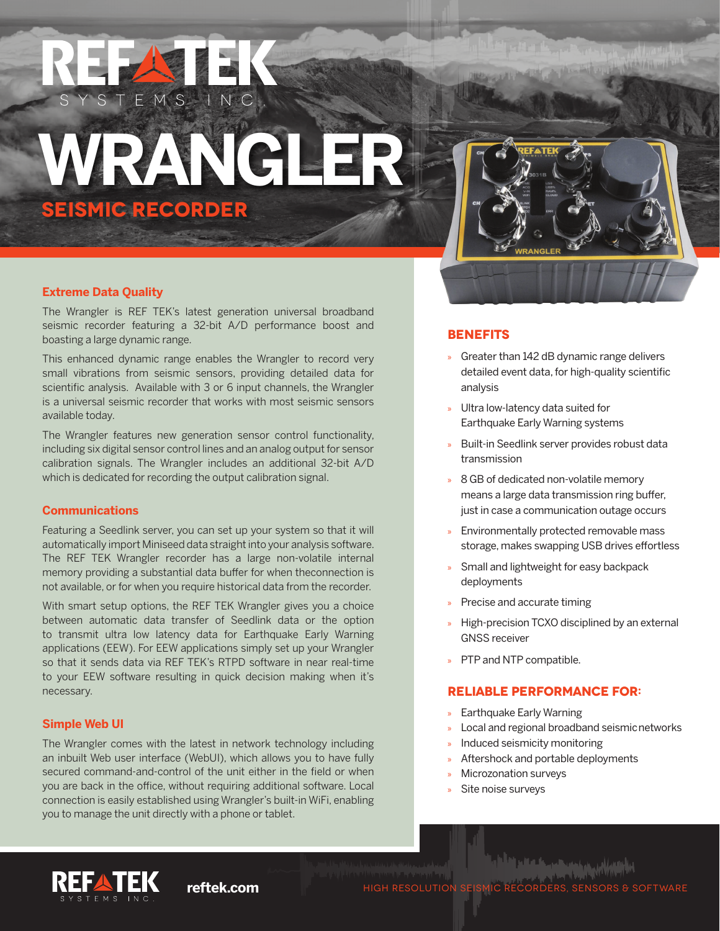# WRANG **SEISMIC RECORDER**

TEMS INC.



U WAAVAR WAN

#### **Extreme Data Quality**

The Wrangler is REF TEK's latest generation universal broadband seismic recorder featuring a 32-bit A/D performance boost and boasting a large dynamic range.

This enhanced dynamic range enables the Wrangler to record very small vibrations from seismic sensors, providing detailed data for scientific analysis. Available with 3 or 6 input channels, the Wrangler is a universal seismic recorder that works with most seismic sensors available today.

The Wrangler features new generation sensor control functionality, including six digital sensor control lines and an analog output for sensor calibration signals. The Wrangler includes an additional 32-bit A/D which is dedicated for recording the output calibration signal.

#### **Communications**

Featuring a Seedlink server, you can set up your system so that it will automatically import Miniseed data straight into your analysis software. The REF TEK Wrangler recorder has a large non-volatile internal memory providing a substantial data buffer for when theconnection is not available, or for when you require historical data from the recorder.

With smart setup options, the REF TEK Wrangler gives you a choice between automatic data transfer of Seedlink data or the option to transmit ultra low latency data for Earthquake Early Warning applications (EEW). For EEW applications simply set up your Wrangler so that it sends data via REF TEK's RTPD software in near real-time to your EEW software resulting in quick decision making when it's necessary.

#### **Simple Web UI**

The Wrangler comes with the latest in network technology including an inbuilt Web user interface (WebUI), which allows you to have fully secured command-and-control of the unit either in the field or when you are back in the office, without requiring additional software. Local connection is easily established using Wrangler's built-in WiFi, enabling you to manage the unit directly with a phone or tablet.

#### **BENEFITS**

- » Greater than 142 dB dynamic range delivers detailed event data, for high-quality scientific analysis
- » Ultra low-latency data suited for Earthquake Early Warning systems
- » Built-in Seedlink server provides robust data transmission
- » 8 GB of dedicated non-volatile memory means a large data transmission ring buffer, just in case a communication outage occurs
- » Environmentally protected removable mass storage, makes swapping USB drives effortless
- » Small and lightweight for easy backpack deployments
- » Precise and accurate timing
- » High-precision TCXO disciplined by an external GNSS receiver
- » PTP and NTP compatible.

### **RELIABLE PERFORMANCE FOR:**

- » Earthquake Early Warning
- » Local and regional broadband seismic networks
- » Induced seismicity monitoring
- » Aftershock and portable deployments
- » Microzonation surveys
- Site noise surveys



فيصحب كسرعة التلفع الثأر **reftek.com** HIGH RESOLUTION SEISMIC RECORDERS, SENSORS & SOFTWARE